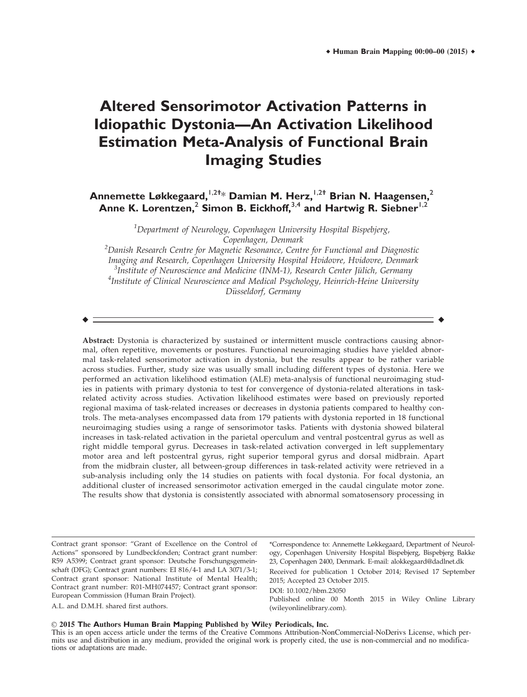# **Altered Sensorimotor Activation Patterns in Idiopathic Dystonia—An Activation Likelihood Estimation Meta-Analysis of Functional Brain Imaging Studies**

**Annemette Løkkegaard,**1,2† \* **Damian M. Herz,**1,2† **Brian N. Haagensen,**<sup>2</sup> Anne K. Lorentzen,<sup>2</sup> Simon B. Eickhoff,<sup>3,4</sup> and Hartwig R. Siebner<sup>1,2</sup>

> <sup>1</sup>Department of Neurology, Copenhagen University Hospital Bispebjerg, Copenhagen, Denmark

 $^2$ Danish Research Centre for Magnetic Resonance, Centre for Functional and Diagnostic Imaging and Research, Copenhagen University Hospital Hvidovre, Hvidovre, Denmark <sup>3</sup>Institute of Neuroscience and Medicine (INM-1), Research Center Jülich, Germany<br><sup>4</sup>Institute of Clinical Neuroscience and Medical Psychology, Heinrich-Heine University <sup>4</sup>Institute of Clinical Neuroscience and Medical Psychology, Heinrich-Heine University Düsseldorf, Germany

r r

Abstract: Dystonia is characterized by sustained or intermittent muscle contractions causing abnormal, often repetitive, movements or postures. Functional neuroimaging studies have yielded abnormal task-related sensorimotor activation in dystonia, but the results appear to be rather variable across studies. Further, study size was usually small including different types of dystonia. Here we performed an activation likelihood estimation (ALE) meta-analysis of functional neuroimaging studies in patients with primary dystonia to test for convergence of dystonia-related alterations in taskrelated activity across studies. Activation likelihood estimates were based on previously reported regional maxima of task-related increases or decreases in dystonia patients compared to healthy controls. The meta-analyses encompassed data from 179 patients with dystonia reported in 18 functional neuroimaging studies using a range of sensorimotor tasks. Patients with dystonia showed bilateral increases in task-related activation in the parietal operculum and ventral postcentral gyrus as well as right middle temporal gyrus. Decreases in task-related activation converged in left supplementary motor area and left postcentral gyrus, right superior temporal gyrus and dorsal midbrain. Apart from the midbrain cluster, all between-group differences in task-related activity were retrieved in a sub-analysis including only the 14 studies on patients with focal dystonia. For focal dystonia, an additional cluster of increased sensorimotor activation emerged in the caudal cingulate motor zone. The results show that dystonia is consistently associated with abnormal somatosensory processing in

Contract grant sponsor: "Grant of Excellence on the Control of Actions" sponsored by Lundbeckfonden; Contract grant number: R59 A5399; Contract grant sponsor: Deutsche Forschungsgemeinschaft (DFG); Contract grant numbers: EI 816/4-1 and LA 3071/3-1; Contract grant sponsor: National Institute of Mental Health; Contract grant number: R01-MH074457; Contract grant sponsor: European Commission (Human Brain Project).

\*Correspondence to: Annemette Løkkegaard, Department of Neurology, Copenhagen University Hospital Bispebjerg, Bispebjerg Bakke 23, Copenhagen 2400, Denmark. E-mail: alokkegaard@dadlnet.dk Received for publication 1 October 2014; Revised 17 September

2015; Accepted 23 October 2015.

DOI: 10.1002/hbm.23050

Published online 00 Month 2015 in Wiley Online Library (wileyonlinelibrary.com).

A.L. and D.M.H. shared first authors.

V<sup>C</sup> 2015 **T**he **A**uthors **H**uman **B**rain **M**apping **P**ublished by **W**iley **P**eriodicals, **I**nc.

This is an open access article under the terms of the Creative Commons Attribution-NonCommercial-NoDerivs License, which permits use and distribution in any medium, provided the original work is properly cited, the use is non-commercial and no modifications or adaptations are made.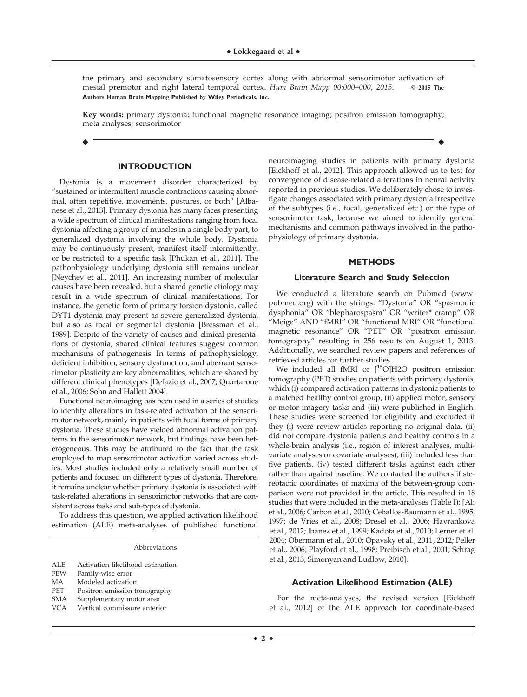the primary and secondary somatosensory cortex along with abnormal sensorimotor activation of mesial premotor and right lateral temporal cortex. Hum Brain Mapp 00:000-000, 2015. © 2015 The **A**uthors **H**uman **B**rain **M**apping **P**ublished by **W**iley **P**eriodicals, **I**nc.

Key words: primary dystonia; functional magnetic resonance imaging; positron emission tomography; meta analyses; sensorimotor

r r

# **INTRODUCTION**

Dystonia is a movement disorder characterized by "sustained or intermittent muscle contractions causing abnormal, often repetitive, movements, postures, or both" [Albanese et al., 2013]. Primary dystonia has many faces presenting a wide spectrum of clinical manifestations ranging from focal dystonia affecting a group of muscles in a single body part, to generalized dystonia involving the whole body. Dystonia may be continuously present, manifest itself intermittently, or be restricted to a specific task [Phukan et al., 2011]. The pathophysiology underlying dystonia still remains unclear [Neychev et al., 2011]. An increasing number of molecular causes have been revealed, but a shared genetic etiology may result in a wide spectrum of clinical manifestations. For instance, the genetic form of primary torsion dystonia, called DYT1 dystonia may present as severe generalized dystonia, but also as focal or segmental dystonia [Bressman et al., 1989]. Despite of the variety of causes and clinical presentations of dystonia, shared clinical features suggest common mechanisms of pathogenesis. In terms of pathophysiology, deficient inhibition, sensory dysfunction, and aberrant sensorimotor plasticity are key abnormalities, which are shared by different clinical phenotypes [Defazio et al., 2007; Quartarone et al., 2006; Sohn and Hallett 2004].

Functional neuroimaging has been used in a series of studies to identify alterations in task-related activation of the sensorimotor network, mainly in patients with focal forms of primary dystonia. These studies have yielded abnormal activation patterns in the sensorimotor network, but findings have been heterogeneous. This may be attributed to the fact that the task employed to map sensorimotor activation varied across studies. Most studies included only a relatively small number of patients and focused on different types of dystonia. Therefore, it remains unclear whether primary dystonia is associated with task-related alterations in sensorimotor networks that are consistent across tasks and sub-types of dystonia.

To address this question, we applied activation likelihood estimation (ALE) meta-analyses of published functional

Abbreviations

| ALE | Activation likelihood estimation |  |
|-----|----------------------------------|--|
|     |                                  |  |

- FEW Family-wise error
- MA Modeled activation<br>PET Positron emission t
- Positron emission tomography
- SMA Supplementary motor area
- VCA Vertical commissure anterior

neuroimaging studies in patients with primary dystonia [Eickhoff et al., 2012]. This approach allowed us to test for convergence of disease-related alterations in neural activity reported in previous studies. We deliberately chose to investigate changes associated with primary dystonia irrespective of the subtypes (i.e., focal, generalized etc.) or the type of sensorimotor task, because we aimed to identify general mechanisms and common pathways involved in the pathophysiology of primary dystonia.

# **METHODS**

### **Literature Search and Study Selection**

We conducted a literature search on Pubmed [\(www.](http://www.pubmed.org) [pubmed.org](http://www.pubmed.org)) with the strings: "Dystonia" OR "spasmodic dysphonia" OR "blepharospasm" OR "writer\* cramp" OR "Meige" AND "fMRI" OR "functional MRI" OR "functional magnetic resonance" OR "PET" OR "positron emission tomography" resulting in 256 results on August 1, 2013. Additionally, we searched review papers and references of retrieved articles for further studies.

We included all fMRI or  $[{}^{15}O]$ H2O positron emission tomography (PET) studies on patients with primary dystonia, which (i) compared activation patterns in dystonic patients to a matched healthy control group, (ii) applied motor, sensory or motor imagery tasks and (iii) were published in English. These studies were screened for eligibility and excluded if they (i) were review articles reporting no original data, (ii) did not compare dystonia patients and healthy controls in a whole-brain analysis (i.e., region of interest analyses, multivariate analyses or covariate analyses), (iii) included less than five patients, (iv) tested different tasks against each other rather than against baseline. We contacted the authors if stereotactic coordinates of maxima of the between-group comparison were not provided in the article. This resulted in 18 studies that were included in the meta-analyses (Table I): [Ali et al., 2006; Carbon et al., 2010; Ceballos-Baumann et al., 1995, 1997; de Vries et al., 2008; Dresel et al., 2006; Havrankova et al., 2012; Ibanez et al., 1999; Kadota et al., 2010; Lerner et al. 2004; Obermann et al., 2010; Opavsky et al., 2011, 2012; Peller et al., 2006; Playford et al., 1998; Preibisch et al., 2001; Schrag et al., 2013; Simonyan and Ludlow, 2010].

### **Activation Likelihood Estimation (ALE)**

For the meta-analyses, the revised version [Eickhoff et al., 2012] of the ALE approach for coordinate-based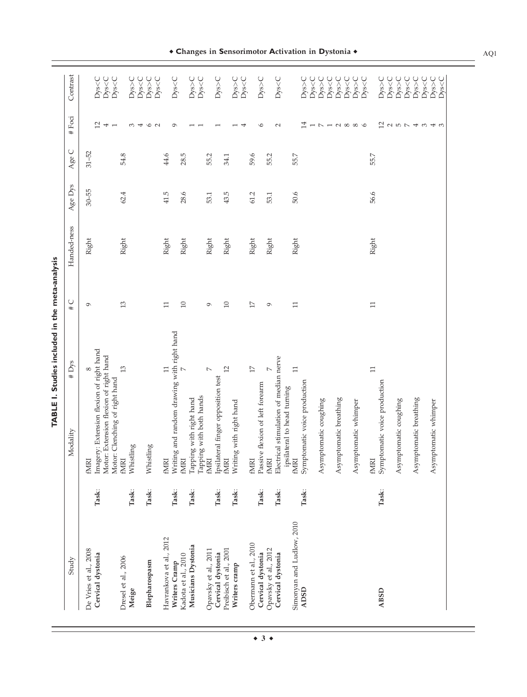|                                            |       | TABLE I. Studies included in the meta-analysis                                                                                               |             |             |           |           |                                                  |                                                     |
|--------------------------------------------|-------|----------------------------------------------------------------------------------------------------------------------------------------------|-------------|-------------|-----------|-----------|--------------------------------------------------|-----------------------------------------------------|
| Study                                      |       | $\#$ Dys<br>Modality                                                                                                                         | $\cup$<br># | Handed-ness | Age Dys   | Age C     | # Foci                                           | Contrast                                            |
| De Vries et al., 2008<br>Cervical dystonia | Task: | Imagery: Extension flexion of right hand<br>Motor: Extension flexion of right hand<br>${}^{\circ}$<br>Motor: Clenching of right hand<br>fMRI | $\circ$     | Right       | $30 - 55$ | $31 - 52$ | $\overline{12}$<br>$\overline{4}$ $\overline{1}$ | Dys <c<br>Dys<c<br>Dys<c< td=""></c<></c<br></c<br> |
| Dresel et al., 2006<br>Meige               | Task: | 13<br>Whistling<br>fMRI                                                                                                                      | 13          | Right       | 62.4      | 54.8      | 3                                                | Dys>C                                               |
| Blepharospasm                              | Task: | Whistling                                                                                                                                    |             |             |           |           | $\circ$ $\sim$<br>4                              | Dys <c<br>Dys&gt;C</c<br>                           |
| Havrankova et al., 2012<br>Writers Cramp   | Task: | g and random drawing with right hand<br>$\Box$<br>Writin<br>fMIRI                                                                            | $\Box$      | Right       | 41.5      | 44.6      | $\sigma$                                         | Dys <c<br>Dys<c< td=""></c<></c<br>                 |
| Musicians Dystonia<br>Kadota et al., 2010  | Task: | $\triangleright$<br>Tapping with both hands<br>Tapping with right hand<br><b>EXIME</b>                                                       | $\Box$      | Right       | 28.6      | 28.5      |                                                  | Dys>C<br>Dys <c< td=""></c<>                        |
| Opavsky et al., 2011<br>Cervical dystonia  | Task: | $\triangleright$<br>Ipsilateral finger opposition test<br>fMRI                                                                               | Ó           | Right       | 53.1      | 55.2      |                                                  | Dys>C                                               |
| Preibisch et al., 2001<br>Writers cramp    | Task: | 12<br>g with right hand<br>Writin<br>fMRI                                                                                                    | $\Box$      | Right       | 43.5      | 34.1      | ⇥                                                | Dys>C<br>Dys <c< td=""></c<>                        |
| Obermann et al., 2010                      |       | $1\overline{7}$<br>fMRI                                                                                                                      | $17\,$      | Right       | 61.2      | 59.6      |                                                  |                                                     |
| Opavsky et al., 2012<br>Cervical dystonia  | Task: | $\triangleright$<br>Passive flexion of left forearm<br><b>ENDIT</b>                                                                          | $\circ$     | Right       | 53.1      | 55.2      | $\circ$                                          | Dys>C                                               |
| Cervical dystonia                          | Task: | Electrical stimulation of median nerve<br>ipsilateral to head turning                                                                        |             |             |           |           | $\sim$                                           | Dys <c< td=""></c<>                                 |
| Simonyan and Ludlow, 2010<br><b>ADSD</b>   | Task: | $\Box$<br>Symptomatic voice production<br>fMRI                                                                                               | $\Box$      | Right       | 50.6      | 55.7      | 14                                               | Dys>C<br>Dys <c< td=""></c<>                        |
|                                            |       | Asymptomatic coughing                                                                                                                        |             |             |           |           | $\overline{\phantom{0}}$<br>$\mathord{\sim}$     | Dys>C<br>Dys <c< td=""></c<>                        |
|                                            |       | Asymptomatic breathing                                                                                                                       |             |             |           |           | $ \sim$ $\infty$ $\infty$                        | Dys <c<br>Dys&gt;C</c<br>                           |
|                                            |       | Asymptomatic whimper                                                                                                                         |             |             |           |           |                                                  | Dys>C<br>Dys <c< td=""></c<>                        |
| <b>ABSD</b>                                | Task: | $\Box$<br>Symptomatic voice production<br>fMRI                                                                                               | $\Box$      | Right       | 56.6      | 55.7      | 12                                               | Dys>C                                               |
|                                            |       | Asymptomatic coughing                                                                                                                        |             |             |           |           | $\sim$ $\sim$ $\sim$                             | Dys <c<br>Dys&gt;C<br/>Dys<c< td=""></c<></c<br>    |
|                                            |       | Asymptomatic breathing                                                                                                                       |             |             |           |           | $\overline{\phantom{a}}$                         | Dys>C<br>Dys <c< td=""></c<>                        |
|                                            |       | Asymptomatic whimper                                                                                                                         |             |             |           |           | $\omega$ 4 $\omega$                              | Dys>C<br>Dys <c< td=""></c<>                        |
|                                            |       |                                                                                                                                              |             |             |           |           |                                                  |                                                     |

**Changes in Sensorimotor Activation in Dystonia**  $\bullet$ 

AQ1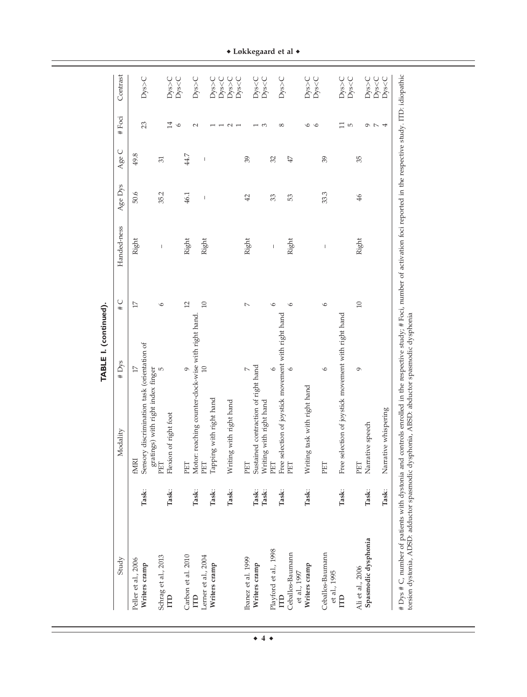| Study                                   |                | Modality                                                                   | # Dys          | $\frac{1}{2}$ | Handed-ness                    | Age Dys | AgeC | # Foci                   | Contrast                                         |
|-----------------------------------------|----------------|----------------------------------------------------------------------------|----------------|---------------|--------------------------------|---------|------|--------------------------|--------------------------------------------------|
| Peller et al., 2006<br>Writers cramp    | Task:          | Sensory discrimination task (orientation of<br><b>FMIRI</b>                | $17\,$         | 17            | Right                          | 50.6    | 49.8 | 23                       | Dys>C                                            |
| Schrag et al., 2013<br>ITD              | Task:          | gratings) with right index finger<br>Flexion of right foot<br>PET          | Б              | $\circ$       | I                              | 35.2    | 31   | 14                       | Dys>C                                            |
| Carbon et al. 2010<br>ITD               | Task:          | Motor: reaching counter-clock-wise with right hand.<br>PET                 | $\circ$        | 12            | Right                          | 46.1    | 44.7 | $\circ$<br>$\sim$        | Dys <c<br>Dys&gt;C</c<br>                        |
| Lerner et al., 2004<br>Writers cramp    | Task:          | Tapping with right hand<br>PET                                             | 10             | $\Box$        | Right                          | I       | I    |                          | Dys>C                                            |
|                                         | Task:          | g with right hand<br>Writin                                                |                |               |                                |         |      | $\sim$ $\sim$            | Dys <c<br>Dys&gt;C<br/>Dys<c< td=""></c<></c<br> |
| Ibanez et al. 1999<br>Writers cramp     | Task:<br>Task: | Sustained contraction of right hand<br>ng with right hand<br>Writin<br>PET | $\overline{ }$ | $\sim$        | Right                          | 42      | 39   | S                        | Dys <c<br>Dys<c< td=""></c<></c<br>              |
| Playford et al., 1998<br><b>ITD</b>     | Task:          | Free selection of joystick movement with right hand<br>PET                 | $\circ$        | $\circ$       | $\begin{array}{c} \end{array}$ | 33      | 32   | $\infty$                 | Dys>C                                            |
| Ceballos-Baumann<br>et al., 1997        |                | PET                                                                        | $\circ$        | $\circ$       | Right                          | 53      | 47   |                          |                                                  |
| Writers cramp                           | Task:          | ig task with right hand<br>Writin                                          |                |               |                                |         |      | $\circ$<br>$\circ$       | Dys <c<br>Dys&gt;C</c<br>                        |
| Ceballos-Baumann<br>et al., 1995        |                | PET                                                                        | $\circ$        | $\circ$       | $\mathsf I$                    | 33.3    | 39   |                          |                                                  |
| П                                       | Task:          | Free selection of joystick movement with right hand                        |                |               |                                |         |      | $\Box$<br>$\overline{5}$ | $D$ ys>C<br>Dys <c< td=""></c<>                  |
| Spasmodic dysphonia<br>Ali et al., 2006 | Task:          | Narrative speech<br>PET                                                    | Ó              | $\Box$        | Right                          | 46      | 35   |                          | Dys>C                                            |
|                                         | Task:          | Narrative whispering                                                       |                |               |                                |         |      | クアム                      | Dys <c<br>Dys &lt; C</c<br>                      |

 $\bullet$  Løkkegaard et al  $\bullet$ 

 $\bullet$  4  $\bullet$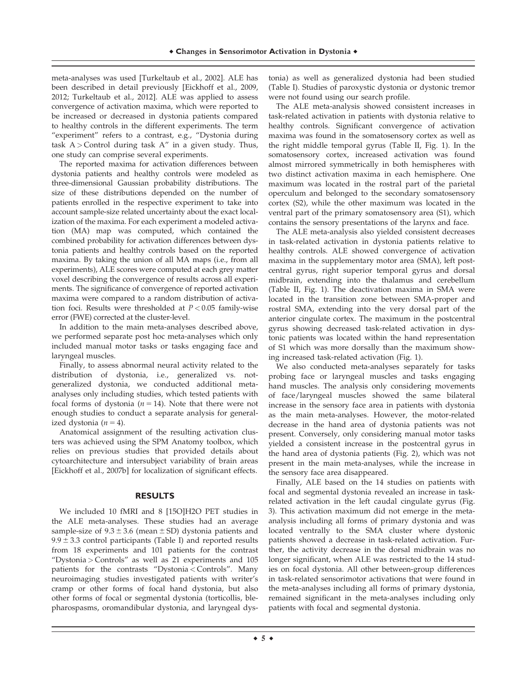meta-analyses was used [Turkeltaub et al., 2002]. ALE has been described in detail previously [Eickhoff et al., 2009, 2012; Turkeltaub et al., 2012]. ALE was applied to assess convergence of activation maxima, which were reported to be increased or decreased in dystonia patients compared to healthy controls in the different experiments. The term "experiment" refers to a contrast, e.g., "Dystonia during task  $A >$  Control during task  $A''$  in a given study. Thus, one study can comprise several experiments.

The reported maxima for activation differences between dystonia patients and healthy controls were modeled as three-dimensional Gaussian probability distributions. The size of these distributions depended on the number of patients enrolled in the respective experiment to take into account sample-size related uncertainty about the exact localization of the maxima. For each experiment a modeled activation (MA) map was computed, which contained the combined probability for activation differences between dystonia patients and healthy controls based on the reported maxima. By taking the union of all MA maps (i.e., from all experiments), ALE scores were computed at each grey matter voxel describing the convergence of results across all experiments. The significance of convergence of reported activation maxima were compared to a random distribution of activation foci. Results were thresholded at  $P < 0.05$  family-wise error (FWE) corrected at the cluster-level.

In addition to the main meta-analyses described above, we performed separate post hoc meta-analyses which only included manual motor tasks or tasks engaging face and laryngeal muscles.

Finally, to assess abnormal neural activity related to the distribution of dystonia, i.e., generalized vs. notgeneralized dystonia, we conducted additional metaanalyses only including studies, which tested patients with focal forms of dystonia ( $n = 14$ ). Note that there were not enough studies to conduct a separate analysis for generalized dystonia ( $n = 4$ ).

Anatomical assignment of the resulting activation clusters was achieved using the SPM Anatomy toolbox, which relies on previous studies that provided details about cytoarchitecture and intersubject variability of brain areas [Eickhoff et al., 2007b] for localization of significant effects.

# **RESULTS**

We included 10 fMRI and 8 [15O]H2O PET studies in the ALE meta-analyses. These studies had an average sample-size of  $9.3 \pm 3.6$  (mean  $\pm$  SD) dystonia patients and  $9.9 \pm 3.3$  control participants (Table I) and reported results from 18 experiments and 101 patients for the contrast "Dystonia > Controls" as well as 21 experiments and 105 patients for the contrasts "Dystonia < Controls". Many neuroimaging studies investigated patients with writer's cramp or other forms of focal hand dystonia, but also other forms of focal or segmental dystonia (torticollis, blepharospasms, oromandibular dystonia, and laryngeal dystonia) as well as generalized dystonia had been studied (Table I). Studies of paroxystic dystonia or dystonic tremor were not found using our search profile.

The ALE meta-analysis showed consistent increases in task-related activation in patients with dystonia relative to healthy controls. Significant convergence of activation maxima was found in the somatosensory cortex as well as the right middle temporal gyrus (Table II, Fig. 1). In the somatosensory cortex, increased activation was found almost mirrored symmetrically in both hemispheres with two distinct activation maxima in each hemisphere. One maximum was located in the rostral part of the parietal operculum and belonged to the secondary somatosensory cortex (S2), while the other maximum was located in the ventral part of the primary somatosensory area (S1), which contains the sensory presentations of the larynx and face.

The ALE meta-analysis also yielded consistent decreases in task-related activation in dystonia patients relative to healthy controls. ALE showed convergence of activation maxima in the supplementary motor area (SMA), left postcentral gyrus, right superior temporal gyrus and dorsal midbrain, extending into the thalamus and cerebellum (Table II, Fig. 1). The deactivation maxima in SMA were located in the transition zone between SMA-proper and rostral SMA, extending into the very dorsal part of the anterior cingulate cortex. The maximum in the postcentral gyrus showing decreased task-related activation in dystonic patients was located within the hand representation of S1 which was more dorsally than the maximum showing increased task-related activation (Fig. 1).

We also conducted meta-analyses separately for tasks probing face or laryngeal muscles and tasks engaging hand muscles. The analysis only considering movements of face/laryngeal muscles showed the same bilateral increase in the sensory face area in patients with dystonia as the main meta-analyses. However, the motor-related decrease in the hand area of dystonia patients was not present. Conversely, only considering manual motor tasks yielded a consistent increase in the postcentral gyrus in the hand area of dystonia patients (Fig. 2), which was not present in the main meta-analyses, while the increase in the sensory face area disappeared.

Finally, ALE based on the 14 studies on patients with focal and segmental dystonia revealed an increase in taskrelated activation in the left caudal cingulate gyrus (Fig. 3). This activation maximum did not emerge in the metaanalysis including all forms of primary dystonia and was located ventrally to the SMA cluster where dystonic patients showed a decrease in task-related activation. Further, the activity decrease in the dorsal midbrain was no longer significant, when ALE was restricted to the 14 studies on focal dystonia. All other between-group differences in task-related sensorimotor activations that were found in the meta-analyses including all forms of primary dystonia, remained significant in the meta-analyses including only patients with focal and segmental dystonia.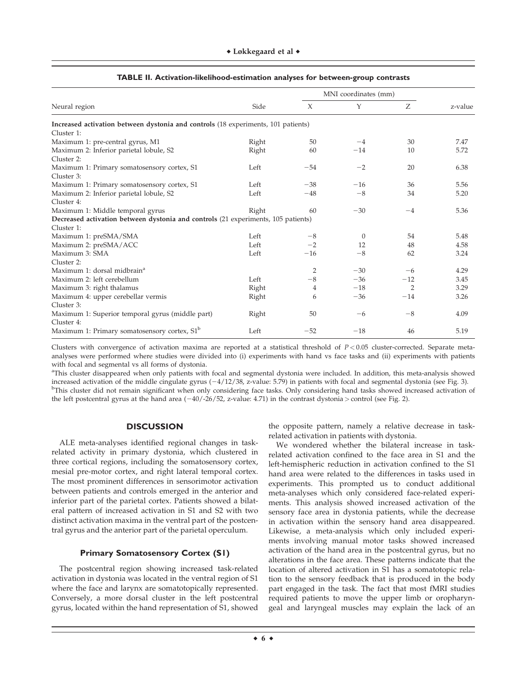|                                                                                   |       |                | MNI coordinates (mm) |                |         |
|-----------------------------------------------------------------------------------|-------|----------------|----------------------|----------------|---------|
| Neural region                                                                     | Side  | $\chi$         | Y                    | Ζ              | z-value |
| Increased activation between dystonia and controls (18 experiments, 101 patients) |       |                |                      |                |         |
| Cluster 1:                                                                        |       |                |                      |                |         |
| Maximum 1: pre-central gyrus, M1                                                  | Right | 50             | $-4$                 | 30             | 7.47    |
| Maximum 2: Inferior parietal lobule, S2                                           | Right | 60             | $-14$                | 10             | 5.72    |
| Cluster 2:                                                                        |       |                |                      |                |         |
| Maximum 1: Primary somatosensory cortex, S1                                       | Left  | $-54$          | $-2$                 | 20             | 6.38    |
| Cluster 3:                                                                        |       |                |                      |                |         |
| Maximum 1: Primary somatosensory cortex, S1                                       | Left  | $-38$          | $-16$                | 36             | 5.56    |
| Maximum 2: Inferior parietal lobule, S2                                           | Left  | $-48$          | $-8$                 | 34             | 5.20    |
| Cluster 4:                                                                        |       |                |                      |                |         |
| Maximum 1: Middle temporal gyrus                                                  | Right | 60             | $-30$                | $-4$           | 5.36    |
| Decreased activation between dystonia and controls (21 experiments, 105 patients) |       |                |                      |                |         |
| Cluster 1:                                                                        |       |                |                      |                |         |
| Maximum 1: preSMA/SMA                                                             | Left  | $-8$           | $\Omega$             | 54             | 5.48    |
| Maximum 2: preSMA/ACC                                                             | Left  | $-2$           | 12                   | 48             | 4.58    |
| Maximum 3: SMA                                                                    | Left  | $-16$          | $-8$                 | 62             | 3.24    |
| Cluster 2:                                                                        |       |                |                      |                |         |
| Maximum 1: dorsal midbrain <sup>a</sup>                                           |       | $\overline{2}$ | $-30$                | $-6$           | 4.29    |
| Maximum 2: left cerebellum                                                        | Left  | $-8$           | $-36$                | $-12$          | 3.45    |
| Maximum 3: right thalamus                                                         | Right | 4              | $-18$                | $\overline{2}$ | 3.29    |
| Maximum 4: upper cerebellar vermis                                                | Right | 6              | $-36$                | $-14$          | 3.26    |
| Cluster 3:                                                                        |       |                |                      |                |         |
| Maximum 1: Superior temporal gyrus (middle part)                                  | Right | 50             | $-6$                 | $-8$           | 4.09    |
| Cluster 4:                                                                        |       |                |                      |                |         |
| Maximum 1: Primary somatosensory cortex, S1 <sup>b</sup>                          | Left  | $-52$          | $-18$                | 46             | 5.19    |
|                                                                                   |       |                |                      |                |         |

## **TABLE II. Activation-likelihood-estimation analyses for between-group contrasts**

Clusters with convergence of activation maxima are reported at a statistical threshold of  $P < 0.05$  cluster-corrected. Separate metaanalyses were performed where studies were divided into (i) experiments with hand vs face tasks and (ii) experiments with patients with focal and segmental vs all forms of dystonia.

<sup>a</sup>This cluster disappeared when only patients with focal and segmental dystonia were included. In addition, this meta-analysis showed increased activation of the middle cingulate gyrus  $(-4/12/38, z$ -value: 5.79) in patients with focal and segmental dystonia (see Fig. 3). <sup>b</sup>This cluster did not remain significant when only considering face tasks. Only considering hand tasks showed increased activation of the left postcentral gyrus at the hand area  $(-40/-26/52, z$ -value: 4.71) in the contrast dystonia > control (see Fig. 2).

## **DISCUSSION**

ALE meta-analyses identified regional changes in taskrelated activity in primary dystonia, which clustered in three cortical regions, including the somatosensory cortex, mesial pre-motor cortex, and right lateral temporal cortex. The most prominent differences in sensorimotor activation between patients and controls emerged in the anterior and inferior part of the parietal cortex. Patients showed a bilateral pattern of increased activation in S1 and S2 with two distinct activation maxima in the ventral part of the postcentral gyrus and the anterior part of the parietal operculum.

# **Primary Somatosensory Cortex (S1)**

The postcentral region showing increased task-related activation in dystonia was located in the ventral region of S1 where the face and larynx are somatotopically represented. Conversely, a more dorsal cluster in the left postcentral gyrus, located within the hand representation of S1, showed the opposite pattern, namely a relative decrease in taskrelated activation in patients with dystonia.

We wondered whether the bilateral increase in taskrelated activation confined to the face area in S1 and the left-hemispheric reduction in activation confined to the S1 hand area were related to the differences in tasks used in experiments. This prompted us to conduct additional meta-analyses which only considered face-related experiments. This analysis showed increased activation of the sensory face area in dystonia patients, while the decrease in activation within the sensory hand area disappeared. Likewise, a meta-analysis which only included experiments involving manual motor tasks showed increased activation of the hand area in the postcentral gyrus, but no alterations in the face area. These patterns indicate that the location of altered activation in S1 has a somatotopic relation to the sensory feedback that is produced in the body part engaged in the task. The fact that most fMRI studies required patients to move the upper limb or oropharyngeal and laryngeal muscles may explain the lack of an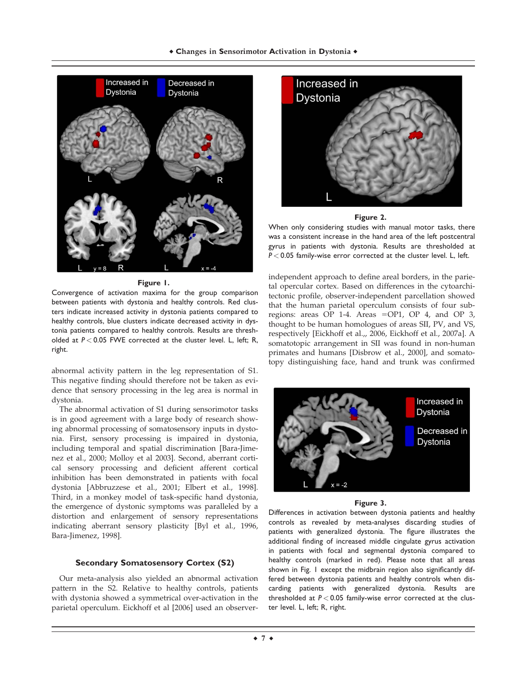

# **Figure 1.**

Convergence of activation maxima for the group comparison between patients with dystonia and healthy controls. Red clusters indicate increased activity in dystonia patients compared to healthy controls, blue clusters indicate decreased activity in dystonia patients compared to healthy controls. Results are thresholded at *P* < 0.05 FWE corrected at the cluster level. L, left; R, right.

abnormal activity pattern in the leg representation of S1. This negative finding should therefore not be taken as evidence that sensory processing in the leg area is normal in dystonia.

The abnormal activation of S1 during sensorimotor tasks is in good agreement with a large body of research showing abnormal processing of somatosensory inputs in dystonia. First, sensory processing is impaired in dystonia, including temporal and spatial discrimination [Bara-Jimenez et al., 2000; Molloy et al 2003]. Second, aberrant cortical sensory processing and deficient afferent cortical inhibition has been demonstrated in patients with focal dystonia [Abbruzzese et al., 2001; Elbert et al., 1998]. Third, in a monkey model of task-specific hand dystonia, the emergence of dystonic symptoms was paralleled by a distortion and enlargement of sensory representations indicating aberrant sensory plasticity [Byl et al., 1996, Bara-Jimenez, 1998].

# **Secondary Somatosensory Cortex (S2)**

Our meta-analysis also yielded an abnormal activation pattern in the S2. Relative to healthy controls, patients with dystonia showed a symmetrical over-activation in the parietal operculum. Eickhoff et al [2006] used an observer-





When only considering studies with manual motor tasks, there was a consistent increase in the hand area of the left postcentral gyrus in patients with dystonia. Results are thresholded at *P* < 0.05 family-wise error corrected at the cluster level. L, left.

independent approach to define areal borders, in the parietal opercular cortex. Based on differences in the cytoarchitectonic profile, observer-independent parcellation showed that the human parietal operculum consists of four subregions: areas OP 1-4. Areas = OP1, OP 4, and OP 3, thought to be human homologues of areas SII, PV, and VS, respectively [Eickhoff et al.,, 2006, Eickhoff et al., 2007a]. A somatotopic arrangement in SII was found in non-human primates and humans [Disbrow et al., 2000], and somatotopy distinguishing face, hand and trunk was confirmed



# **Figure 3.**

Differences in activation between dystonia patients and healthy controls as revealed by meta-analyses discarding studies of patients with generalized dystonia. The figure illustrates the additional finding of increased middle cingulate gyrus activation in patients with focal and segmental dystonia compared to healthy controls (marked in red). Please note that all areas shown in Fig. 1 except the midbrain region also significantly differed between dystonia patients and healthy controls when discarding patients with generalized dystonia. Results are thresholded at *P* < 0.05 family-wise error corrected at the cluster level. L, left; R, right.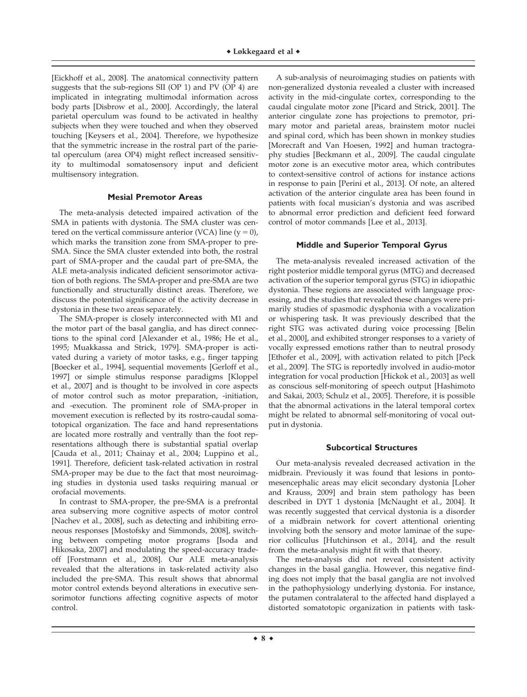[Eickhoff et al., 2008]. The anatomical connectivity pattern suggests that the sub-regions SII (OP 1) and PV (OP 4) are implicated in integrating multimodal information across body parts [Disbrow et al., 2000]. Accordingly, the lateral parietal operculum was found to be activated in healthy subjects when they were touched and when they observed touching [Keysers et al., 2004]. Therefore, we hypothesize that the symmetric increase in the rostral part of the parietal operculum (area OP4) might reflect increased sensitivity to multimodal somatosensory input and deficient multisensory integration.

## **Mesial Premotor Areas**

The meta-analysis detected impaired activation of the SMA in patients with dystonia. The SMA cluster was centered on the vertical commissure anterior (VCA) line  $(y = 0)$ , which marks the transition zone from SMA-proper to pre-SMA. Since the SMA cluster extended into both, the rostral part of SMA-proper and the caudal part of pre-SMA, the ALE meta-analysis indicated deficient sensorimotor activation of both regions. The SMA-proper and pre-SMA are two functionally and structurally distinct areas. Therefore, we discuss the potential significance of the activity decrease in dystonia in these two areas separately.

The SMA-proper is closely interconnected with M1 and the motor part of the basal ganglia, and has direct connections to the spinal cord [Alexander et al., 1986; He et al., 1995; Muakkassa and Strick, 1979]. SMA-proper is activated during a variety of motor tasks, e.g., finger tapping [Boecker et al., 1994], sequential movements [Gerloff et al., 1997] or simple stimulus response paradigms [Kloppel et al., 2007] and is thought to be involved in core aspects of motor control such as motor preparation, -initiation, and -execution. The prominent role of SMA-proper in movement execution is reflected by its rostro-caudal somatotopical organization. The face and hand representations are located more rostrally and ventrally than the foot representations although there is substantial spatial overlap [Cauda et al., 2011; Chainay et al., 2004; Luppino et al., 1991]. Therefore, deficient task-related activation in rostral SMA-proper may be due to the fact that most neuroimaging studies in dystonia used tasks requiring manual or orofacial movements.

In contrast to SMA-proper, the pre-SMA is a prefrontal area subserving more cognitive aspects of motor control [Nachev et al., 2008], such as detecting and inhibiting erroneous responses [Mostofsky and Simmonds, 2008], switching between competing motor programs [Isoda and Hikosaka, 2007] and modulating the speed-accuracy tradeoff [Forstmann et al., 2008]. Our ALE meta-analysis revealed that the alterations in task-related activity also included the pre-SMA. This result shows that abnormal motor control extends beyond alterations in executive sensorimotor functions affecting cognitive aspects of motor control.

A sub-analysis of neuroimaging studies on patients with non-generalized dystonia revealed a cluster with increased activity in the mid-cingulate cortex, corresponding to the caudal cingulate motor zone [Picard and Strick, 2001]. The anterior cingulate zone has projections to premotor, primary motor and parietal areas, brainstem motor nuclei and spinal cord, which has been shown in monkey studies [Morecraft and Van Hoesen, 1992] and human tractography studies [Beckmann et al., 2009]. The caudal cingulate motor zone is an executive motor area, which contributes to context-sensitive control of actions for instance actions in response to pain [Perini et al., 2013]. Of note, an altered activation of the anterior cingulate area has been found in patients with focal musician's dystonia and was ascribed to abnormal error prediction and deficient feed forward control of motor commands [Lee et al., 2013].

## **Middle and Superior Temporal Gyrus**

The meta-analysis revealed increased activation of the right posterior middle temporal gyrus (MTG) and decreased activation of the superior temporal gyrus (STG) in idiopathic dystonia. These regions are associated with language processing, and the studies that revealed these changes were primarily studies of spasmodic dysphonia with a vocalization or whispering task. It was previously described that the right STG was activated during voice processing [Belin et al., 2000], and exhibited stronger responses to a variety of vocally expressed emotions rather than to neutral prosody [Ethofer et al., 2009], with activation related to pitch [Peck et al., 2009]. The STG is reportedly involved in audio-motor integration for vocal production [Hickok et al., 2003] as well as conscious self-monitoring of speech output [Hashimoto and Sakai, 2003; Schulz et al., 2005]. Therefore, it is possible that the abnormal activations in the lateral temporal cortex might be related to abnormal self-monitoring of vocal output in dystonia.

## **Subcortical Structures**

Our meta-analysis revealed decreased activation in the midbrain. Previously it was found that lesions in pontomesencephalic areas may elicit secondary dystonia [Loher and Krauss, 2009] and brain stem pathology has been described in DYT 1 dystonia [McNaught et al., 2004]. It was recently suggested that cervical dystonia is a disorder of a midbrain network for covert attentional orienting involving both the sensory and motor laminae of the superior colliculus [Hutchinson et al., 2014], and the result from the meta-analysis might fit with that theory.

The meta-analysis did not reveal consistent activity changes in the basal ganglia. However, this negative finding does not imply that the basal ganglia are not involved in the pathophysiology underlying dystonia. For instance, the putamen contralateral to the affected hand displayed a distorted somatotopic organization in patients with task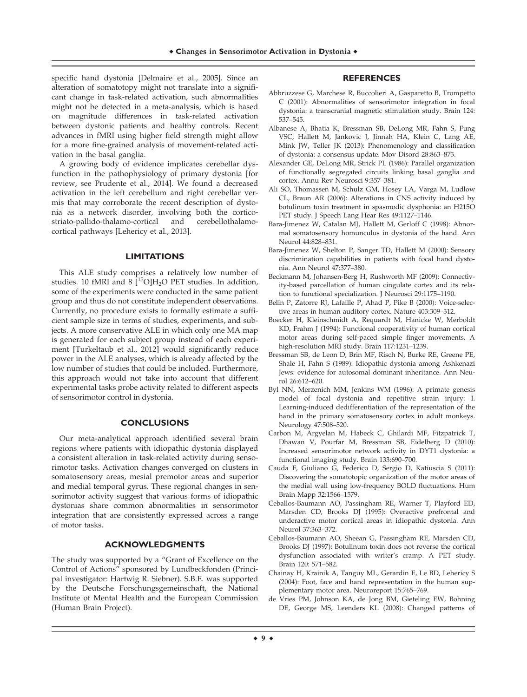specific hand dystonia [Delmaire et al., 2005]. Since an alteration of somatotopy might not translate into a significant change in task-related activation, such abnormalities might not be detected in a meta-analysis, which is based on magnitude differences in task-related activation between dystonic patients and healthy controls. Recent advances in fMRI using higher field strength might allow for a more fine-grained analysis of movement-related activation in the basal ganglia.

A growing body of evidence implicates cerebellar dysfunction in the pathophysiology of primary dystonia [for review, see Prudente et al., 2014]. We found a decreased activation in the left cerebellum and right cerebellar vermis that may corroborate the recent description of dystonia as a network disorder, involving both the corticostriato-pallido-thalamo-cortical and cerebellothalamocortical pathways [Lehericy et al., 2013].

## **LIMITATIONS**

This ALE study comprises a relatively low number of studies. 10 fMRI and 8  $[$ <sup>15</sup>O]H<sub>2</sub>O PET studies. In addition, some of the experiments were conducted in the same patient group and thus do not constitute independent observations. Currently, no procedure exists to formally estimate a sufficient sample size in terms of studies, experiments, and subjects. A more conservative ALE in which only one MA map is generated for each subject group instead of each experiment [Turkeltaub et al., 2012] would significantly reduce power in the ALE analyses, which is already affected by the low number of studies that could be included. Furthermore, this approach would not take into account that different experimental tasks probe activity related to different aspects of sensorimotor control in dystonia.

# **CONCLUSIONS**

Our meta-analytical approach identified several brain regions where patients with idiopathic dystonia displayed a consistent alteration in task-related activity during sensorimotor tasks. Activation changes converged on clusters in somatosensory areas, mesial premotor areas and superior and medial temporal gyrus. These regional changes in sensorimotor activity suggest that various forms of idiopathic dystonias share common abnormalities in sensorimotor integration that are consistently expressed across a range of motor tasks.

# **ACKNOWLEDGMENTS**

The study was supported by a "Grant of Excellence on the Control of Actions" sponsored by Lundbeckfonden (Principal investigator: Hartwig R. Siebner). S.B.E. was supported by the Deutsche Forschungsgemeinschaft, the National Institute of Mental Health and the European Commission (Human Brain Project).

## **REFERENCES**

- Abbruzzese G, Marchese R, Buccolieri A, Gasparetto B, Trompetto C (2001): Abnormalities of sensorimotor integration in focal dystonia: a transcranial magnetic stimulation study. Brain 124: 537–545.
- Albanese A, Bhatia K, Bressman SB, DeLong MR, Fahn S, Fung VSC, Hallett M, Jankovic J, Jinnah HA, Klein C, Lang AE, Mink JW, Teller JK (2013): Phenomenology and classification of dystonia: a consensus update. Mov Disord 28:863–873.
- Alexander GE, DeLong MR, Strick PL (1986): Parallel organization of functionally segregated circuits linking basal ganglia and cortex. Annu Rev Neurosci 9:357–381.
- Ali SO, Thomassen M, Schulz GM, Hosey LA, Varga M, Ludlow CL, Braun AR (2006): Alterations in CNS activity induced by botulinum toxin treatment in spasmodic dysphonia: an H215O PET study. J Speech Lang Hear Res 49:1127–1146.
- Bara-Jimenez W, Catalan MJ, Hallett M, Gerloff C (1998): Abnormal somatosensory homunculus in dystonia of the hand. Ann Neurol 44:828–831.
- Bara-Jimenez W, Shelton P, Sanger TD, Hallett M (2000): Sensory discrimination capabilities in patients with focal hand dystonia. Ann Neurol 47:377–380.
- Beckmann M, Johansen-Berg H, Rushworth MF (2009): Connectivity-based parcellation of human cingulate cortex and its relation to functional specialization. J Neurosci 29:1175–1190.
- Belin P, Zatorre RJ, Lafaille P, Ahad P, Pike B (2000): Voice-selective areas in human auditory cortex. Nature 403:309–312.
- Boecker H, Kleinschmidt A, Requardt M, Hanicke W, Merboldt KD, Frahm J (1994): Functional cooperativity of human cortical motor areas during self-paced simple finger movements. A high-resolution MRI study. Brain 117:1231–1239.
- Bressman SB, de Leon D, Brin MF, Risch N, Burke RE, Greene PE, Shale H, Fahn S (1989): Idiopathic dystonia among Ashkenazi Jews: evidence for autosomal dominant inheritance. Ann Neurol 26:612–620.
- Byl NN, Merzenich MM, Jenkins WM (1996): A primate genesis model of focal dystonia and repetitive strain injury: I. Learning-induced dedifferentiation of the representation of the hand in the primary somatosensory cortex in adult monkeys. Neurology 47:508–520.
- Carbon M, Argyelan M, Habeck C, Ghilardi MF, Fitzpatrick T, Dhawan V, Pourfar M, Bressman SB, Eidelberg D (2010): Increased sensorimotor network activity in DYT1 dystonia: a functional imaging study. Brain 133:690–700.
- Cauda F, Giuliano G, Federico D, Sergio D, Katiuscia S (2011): Discovering the somatotopic organization of the motor areas of the medial wall using low-frequency BOLD fluctuations. Hum Brain Mapp 32:1566–1579.
- Ceballos-Baumann AO, Passingham RE, Warner T, Playford ED, Marsden CD, Brooks DJ (1995): Overactive prefrontal and underactive motor cortical areas in idiopathic dystonia. Ann Neurol 37:363–372.
- Ceballos-Baumann AO, Sheean G, Passingham RE, Marsden CD, Brooks DJ (1997): Botulinum toxin does not reverse the cortical dysfunction associated with writer's cramp. A PET study. Brain 120: 571–582.
- Chainay H, Krainik A, Tanguy ML, Gerardin E, Le BD, Lehericy S (2004): Foot, face and hand representation in the human supplementary motor area. Neuroreport 15:765–769.
- de Vries PM, Johnson KA, de Jong BM, Gieteling EW, Bohning DE, George MS, Leenders KL (2008): Changed patterns of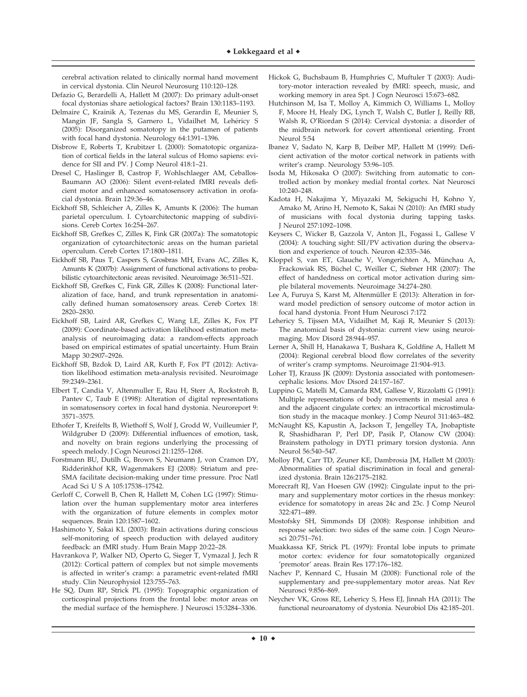cerebral activation related to clinically normal hand movement in cervical dystonia. Clin Neurol Neurosurg 110:120-128.

- Defazio G, Berardelli A, Hallett M (2007): Do primary adult-onset focal dystonias share aetiological factors? Brain 130:1183–1193.
- Delmaire C, Krainik A, Tezenas du MS, Gerardin E, Meunier S, Mangin JF, Sangla S, Garnero L, Vidailhet M, Lehéricy S (2005): Disorganized somatotopy in the putamen of patients with focal hand dystonia. Neurology 64:1391–1396.
- Disbrow E, Roberts T, Krubitzer L (2000): Somatotopic organization of cortical fields in the lateral sulcus of Homo sapiens: evidence for SII and PV. J Comp Neurol 418:1–21.
- Dresel C, Haslinger B, Castrop F, Wohlschlaeger AM, Ceballos-Baumann AO (2006): Silent event-related fMRI reveals deficient motor and enhanced somatosensory activation in orofacial dystonia. Brain 129:36–46.
- Eickhoff SB, Schleicher A, Zilles K, Amunts K (2006): The human parietal operculum. I. Cytoarchitectonic mapping of subdivisions. Cereb Cortex 16:254–267.
- Eickhoff SB, Grefkes C, Zilles K, Fink GR (2007a): The somatotopic organization of cytoarchitectonic areas on the human parietal operculum. Cereb Cortex 17:1800–1811.
- Eickhoff SB, Paus T, Caspers S, Grosbras MH, Evans AC, Zilles K, Amunts K (2007b): Assignment of functional activations to probabilistic cytoarchitectonic areas revisited. Neuroimage 36:511–521.
- Eickhoff SB, Grefkes C, Fink GR, Zilles K (2008): Functional lateralization of face, hand, and trunk representation in anatomically defined human somatosensory areas. Cereb Cortex 18: 2820–2830.
- Eickhoff SB, Laird AR, Grefkes C, Wang LE, Zilles K, Fox PT (2009): Coordinate-based activation likelihood estimation metaanalysis of neuroimaging data: a random-effects approach based on empirical estimates of spatial uncertainty. Hum Brain Mapp 30:2907–2926.
- Eickhoff SB, Bzdok D, Laird AR, Kurth F, Fox PT (2012): Activation likelihood estimation meta-analysis revisited. Neuroimage 59:2349–2361.
- Elbert T, Candia V, Altenmuller E, Rau H, Sterr A, Rockstroh B, Pantev C, Taub E (1998): Alteration of digital representations in somatosensory cortex in focal hand dystonia. Neuroreport 9: 3571–3575.
- Ethofer T, Kreifelts B, Wiethoff S, Wolf J, Grodd W, Vuilleumier P, Wildgruber D (2009): Differential influences of emotion, task, and novelty on brain regions underlying the processing of speech melody. J Cogn Neurosci 21:1255–1268.
- Forstmann BU, Dutilh G, Brown S, Neumann J, von Cramon DY, Ridderinkhof KR, Wagenmakers EJ (2008): Striatum and pre-SMA facilitate decision-making under time pressure. Proc Natl Acad Sci U S A 105:17538–17542.
- Gerloff C, Corwell B, Chen R, Hallett M, Cohen LG (1997): Stimulation over the human supplementary motor area interferes with the organization of future elements in complex motor sequences. Brain 120:1587–1602.
- Hashimoto Y, Sakai KL (2003): Brain activations during conscious self-monitoring of speech production with delayed auditory feedback: an fMRI study. Hum Brain Mapp 20:22–28.
- Havrankova P, Walker ND, Operto G, Sieger T, Vymazal J, Jech R (2012): Cortical pattern of complex but not simple movements is affected in writer's cramp: a parametric event-related fMRI study. Clin Neurophysiol 123:755–763.
- He SQ, Dum RP, Strick PL (1995): Topographic organization of corticospinal projections from the frontal lobe: motor areas on the medial surface of the hemisphere. J Neurosci 15:3284–3306.
- Hickok G, Buchsbaum B, Humphries C, Muftuler T (2003): Auditory-motor interaction revealed by fMRI: speech, music, and working memory in area Spt. J Cogn Neurosci 15:673–682.
- Hutchinson M, Isa T, Molloy A, Kimmich O, Williams L, Molloy F, Moore H, Healy DG, Lynch T, Walsh C, Butler J, Reilly RB, Walsh R, O'Riordan S (2014): Cervical dystonia: a disorder of the midbrain network for covert attentional orienting. Front Neurol 5:54
- Ibanez V, Sadato N, Karp B, Deiber MP, Hallett M (1999): Deficient activation of the motor cortical network in patients with writer's cramp. Neurology 53:96–105.
- Isoda M, Hikosaka O (2007): Switching from automatic to controlled action by monkey medial frontal cortex. Nat Neurosci 10:240–248.
- Kadota H, Nakajima Y, Miyazaki M, Sekiguchi H, Kohno Y, Amako M, Arino H, Nemoto K, Sakai N (2010): An fMRI study of musicians with focal dystonia during tapping tasks. J Neurol 257:1092–1098.
- Keysers C, Wicker B, Gazzola V, Anton JL, Fogassi L, Gallese V (2004): A touching sight: SII/PV activation during the observation and experience of touch. Neuron 42:335–346.
- Kloppel S, van ET, Glauche V, Vongerichten A, Münchau A, Frackowiak RS, Büchel C, Weiller C, Siebner HR (2007): The effect of handedness on cortical motor activation during simple bilateral movements. Neuroimage 34:274–280.
- Lee A, Furuya S, Karst M, Altenmüller E (2013): Alteration in forward model prediction of sensory outcome of motor action in focal hand dystonia. Front Hum Neurosci 7:172
- Lehericy S, Tijssen MA, Vidailhet M, Kaji R, Meunier S (2013): The anatomical basis of dystonia: current view using neuroimaging. Mov Disord 28:944–957.
- Lerner A, Shill H, Hanakawa T, Bushara K, Goldfine A, Hallett M (2004): Regional cerebral blood flow correlates of the severity of writer's cramp symptoms. Neuroimage 21:904–913.
- Loher TJ, Krauss JK (2009): Dystonia associated with pontomesencephalic lesions. Mov Disord 24:157–167.
- Luppino G, Matelli M, Camarda RM, Gallese V, Rizzolatti G (1991): Multiple representations of body movements in mesial area 6 and the adjacent cingulate cortex: an intracortical microstimulation study in the macaque monkey. J Comp Neurol 311:463–482.
- McNaught KS, Kapustin A, Jackson T, Jengelley TA, Jnobaptiste R, Shashidharan P, Perl DP, Pasik P, Olanow CW (2004): Brainstem pathology in DYT1 primary torsion dystonia. Ann Neurol 56:540–547.
- Molloy FM, Carr TD, Zeuner KE, Dambrosia JM, Hallett M (2003): Abnormalities of spatial discrimination in focal and generalized dystonia. Brain 126:2175–2182.
- Morecraft RJ, Van Hoesen GW (1992): Cingulate input to the primary and supplementary motor cortices in the rhesus monkey: evidence for somatotopy in areas 24c and 23c. J Comp Neurol 322:471–489.
- Mostofsky SH, Simmonds DJ (2008): Response inhibition and response selection: two sides of the same coin. J Cogn Neurosci 20:751–761.
- Muakkassa KF, Strick PL (1979): Frontal lobe inputs to primate motor cortex: evidence for four somatotopically organized 'premotor' areas. Brain Res 177:176–182.
- Nachev P, Kennard C, Husain M (2008): Functional role of the supplementary and pre-supplementary motor areas. Nat Rev Neurosci 9:856–869.
- Neychev VK, Gross RE, Lehericy S, Hess EJ, Jinnah HA (2011): The functional neuroanatomy of dystonia. Neurobiol Dis 42:185–201.